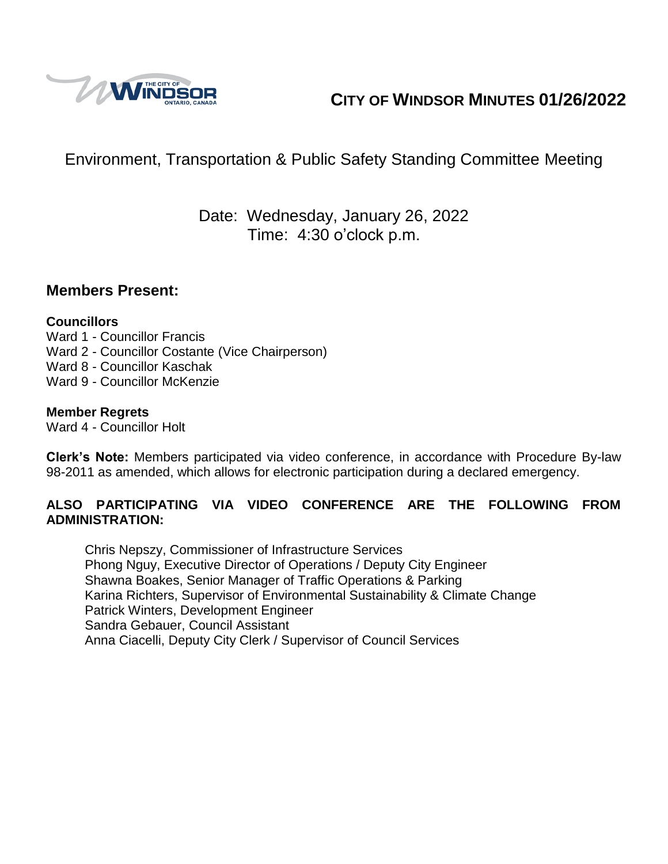

# **CITY OF WINDSOR MINUTES 01/26/2022**

# Environment, Transportation & Public Safety Standing Committee Meeting

## Date: Wednesday, January 26, 2022 Time: 4:30 o'clock p.m.

### **Members Present:**

#### **Councillors**

Ward 1 - Councillor Francis Ward 2 - Councillor Costante (Vice Chairperson) Ward 8 - Councillor Kaschak Ward 9 - Councillor McKenzie

#### **Member Regrets**

Ward 4 - Councillor Holt

**Clerk's Note:** Members participated via video conference, in accordance with Procedure By-law 98-2011 as amended, which allows for electronic participation during a declared emergency.

#### **ALSO PARTICIPATING VIA VIDEO CONFERENCE ARE THE FOLLOWING FROM ADMINISTRATION:**

Chris Nepszy, Commissioner of Infrastructure Services Phong Nguy, Executive Director of Operations / Deputy City Engineer Shawna Boakes, Senior Manager of Traffic Operations & Parking Karina Richters, Supervisor of Environmental Sustainability & Climate Change Patrick Winters, Development Engineer Sandra Gebauer, Council Assistant Anna Ciacelli, Deputy City Clerk / Supervisor of Council Services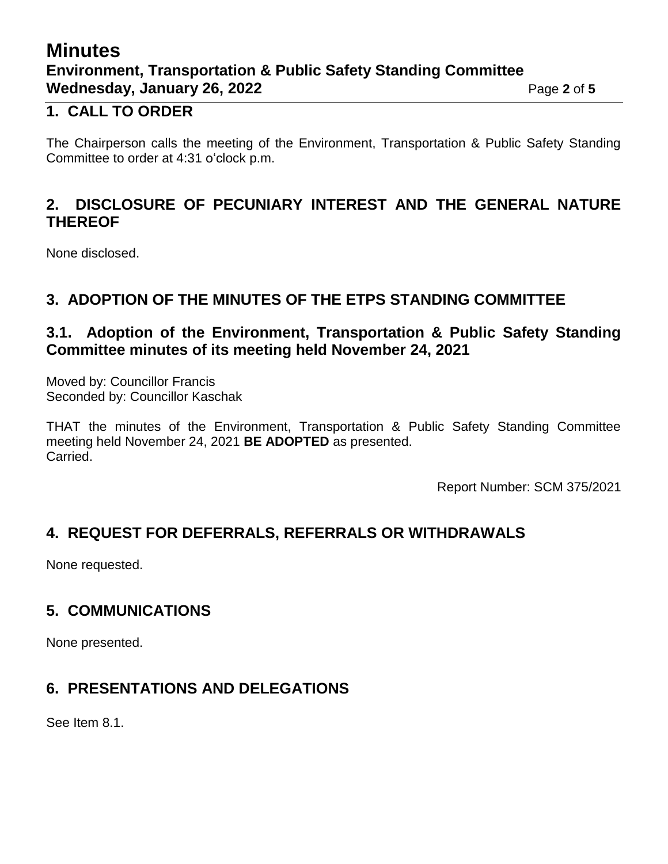# **Minutes Environment, Transportation & Public Safety Standing Committee Wednesday, January 26, 2022** Page 2 of 5

## **1. CALL TO ORDER**

The Chairperson calls the meeting of the Environment, Transportation & Public Safety Standing Committee to order at 4:31 o'clock p.m.

## **2. DISCLOSURE OF PECUNIARY INTEREST AND THE GENERAL NATURE THEREOF**

None disclosed.

## **3. ADOPTION OF THE MINUTES OF THE ETPS STANDING COMMITTEE**

## **3.1. Adoption of the Environment, Transportation & Public Safety Standing Committee minutes of its meeting held November 24, 2021**

Moved by: Councillor Francis Seconded by: Councillor Kaschak

THAT the minutes of the Environment, Transportation & Public Safety Standing Committee meeting held November 24, 2021 **BE ADOPTED** as presented. Carried.

Report Number: SCM 375/2021

## **4. REQUEST FOR DEFERRALS, REFERRALS OR WITHDRAWALS**

None requested.

## **5. COMMUNICATIONS**

None presented.

## **6. PRESENTATIONS AND DELEGATIONS**

See Item 8.1.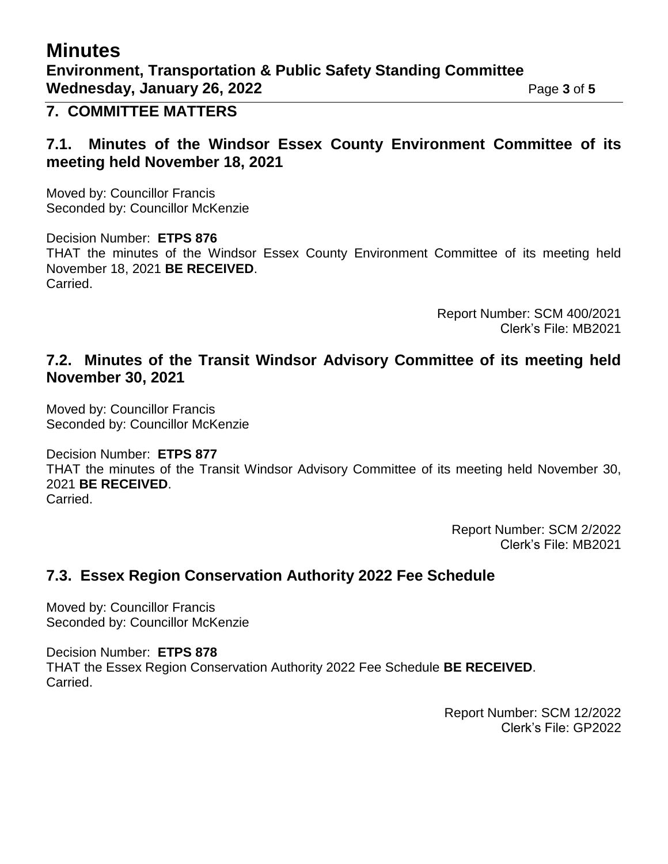# **Minutes**

## **7. COMMITTEE MATTERS**

### **7.1. Minutes of the Windsor Essex County Environment Committee of its meeting held November 18, 2021**

Moved by: Councillor Francis Seconded by: Councillor McKenzie

Decision Number: **ETPS 876** THAT the minutes of the Windsor Essex County Environment Committee of its meeting held November 18, 2021 **BE RECEIVED**. Carried.

> Report Number: SCM 400/2021 Clerk's File: MB2021

### **7.2. Minutes of the Transit Windsor Advisory Committee of its meeting held November 30, 2021**

Moved by: Councillor Francis Seconded by: Councillor McKenzie

Decision Number: **ETPS 877** THAT the minutes of the Transit Windsor Advisory Committee of its meeting held November 30, 2021 **BE RECEIVED**. Carried.

> Report Number: SCM 2/2022 Clerk's File: MB2021

## **7.3. Essex Region Conservation Authority 2022 Fee Schedule**

Moved by: Councillor Francis Seconded by: Councillor McKenzie

Decision Number: **ETPS 878** THAT the Essex Region Conservation Authority 2022 Fee Schedule **BE RECEIVED**. Carried.

> Report Number: SCM 12/2022 Clerk's File: GP2022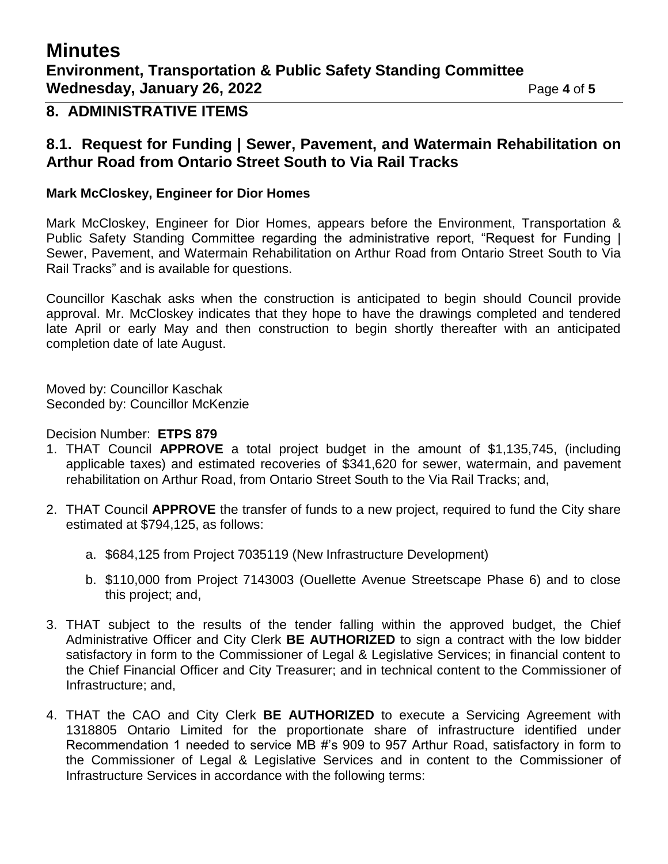# **Minutes Environment, Transportation & Public Safety Standing Committee Wednesday, January 26, 2022** Page 4 of 5

#### **8. ADMINISTRATIVE ITEMS**

#### **8.1. Request for Funding | Sewer, Pavement, and Watermain Rehabilitation on Arthur Road from Ontario Street South to Via Rail Tracks**

#### **Mark McCloskey, Engineer for Dior Homes**

Mark McCloskey, Engineer for Dior Homes, appears before the Environment, Transportation & Public Safety Standing Committee regarding the administrative report, "Request for Funding | Sewer, Pavement, and Watermain Rehabilitation on Arthur Road from Ontario Street South to Via Rail Tracks" and is available for questions.

Councillor Kaschak asks when the construction is anticipated to begin should Council provide approval. Mr. McCloskey indicates that they hope to have the drawings completed and tendered late April or early May and then construction to begin shortly thereafter with an anticipated completion date of late August.

Moved by: Councillor Kaschak Seconded by: Councillor McKenzie

Decision Number: **ETPS 879**

- 1. THAT Council **APPROVE** a total project budget in the amount of \$1,135,745, (including applicable taxes) and estimated recoveries of \$341,620 for sewer, watermain, and pavement rehabilitation on Arthur Road, from Ontario Street South to the Via Rail Tracks; and,
- 2. THAT Council **APPROVE** the transfer of funds to a new project, required to fund the City share estimated at \$794,125, as follows:
	- a. \$684,125 from Project 7035119 (New Infrastructure Development)
	- b. \$110,000 from Project 7143003 (Ouellette Avenue Streetscape Phase 6) and to close this project; and,
- 3. THAT subject to the results of the tender falling within the approved budget, the Chief Administrative Officer and City Clerk **BE AUTHORIZED** to sign a contract with the low bidder satisfactory in form to the Commissioner of Legal & Legislative Services; in financial content to the Chief Financial Officer and City Treasurer; and in technical content to the Commissioner of Infrastructure; and,
- 4. THAT the CAO and City Clerk **BE AUTHORIZED** to execute a Servicing Agreement with 1318805 Ontario Limited for the proportionate share of infrastructure identified under Recommendation 1 needed to service MB #'s 909 to 957 Arthur Road, satisfactory in form to the Commissioner of Legal & Legislative Services and in content to the Commissioner of Infrastructure Services in accordance with the following terms: